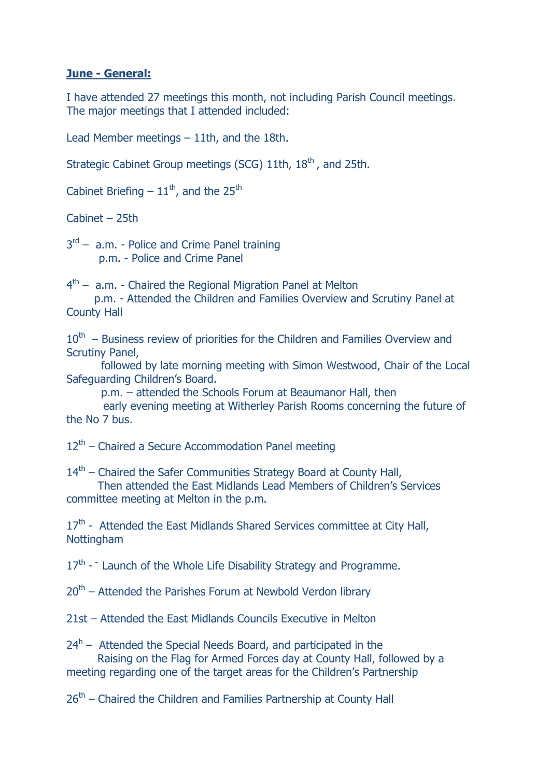## **June - General:**

I have attended 27 meetings this month, not including Parish Council meetings. The major meetings that I attended included:

Lead Member meetings – 11th, and the 18th.

Strategic Cabinet Group meetings (SCG) 11th, 18<sup>th</sup>, and 25th.

Cabinet Briefing  $-11^{\text{th}}$ , and the 25<sup>th</sup>

Cabinet – 25th

3<sup>rd</sup> – a.m. - Police and Crime Panel training p.m. - Police and Crime Panel

4<sup>th</sup> – a.m. - Chaired the Regional Migration Panel at Melton

 p.m. - Attended the Children and Families Overview and Scrutiny Panel at County Hall

 $10<sup>th</sup>$  – Business review of priorities for the Children and Families Overview and Scrutiny Panel,

 followed by late morning meeting with Simon Westwood, Chair of the Local Safeguarding Children's Board.

p.m. – attended the Schools Forum at Beaumanor Hall, then

 early evening meeting at Witherley Parish Rooms concerning the future of the No 7 bus.

12<sup>th</sup> – Chaired a Secure Accommodation Panel meeting

14<sup>th</sup> – Chaired the Safer Communities Strategy Board at County Hall,

 Then attended the East Midlands Lead Members of Children's Services committee meeting at Melton in the p.m.

17<sup>th</sup> - Attended the East Midlands Shared Services committee at City Hall, Nottingham

 $17<sup>th</sup>$  - Launch of the Whole Life Disability Strategy and Programme.

20<sup>th</sup> – Attended the Parishes Forum at Newbold Verdon library

21st – Attended the East Midlands Councils Executive in Melton

 $24<sup>h</sup>$  – Attended the Special Needs Board, and participated in the Raising on the Flag for Armed Forces day at County Hall, followed by a meeting regarding one of the target areas for the Children's Partnership

26<sup>th</sup> – Chaired the Children and Families Partnership at County Hall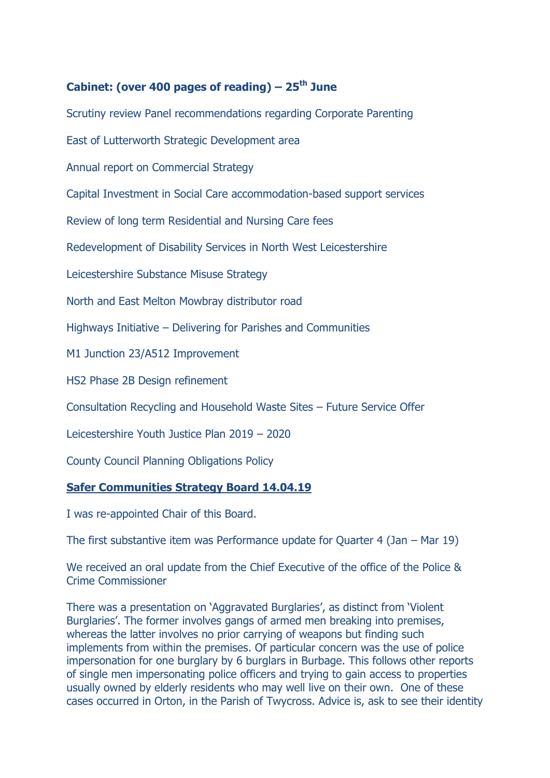# **Cabinet: (over 400 pages of reading) – 25th June**

Scrutiny review Panel recommendations regarding Corporate Parenting

East of Lutterworth Strategic Development area

Annual report on Commercial Strategy

Capital Investment in Social Care accommodation-based support services

Review of long term Residential and Nursing Care fees

Redevelopment of Disability Services in North West Leicestershire

Leicestershire Substance Misuse Strategy

North and East Melton Mowbray distributor road

Highways Initiative – Delivering for Parishes and Communities

M1 Junction 23/A512 Improvement

HS2 Phase 2B Design refinement

Consultation Recycling and Household Waste Sites – Future Service Offer

Leicestershire Youth Justice Plan 2019 – 2020

County Council Planning Obligations Policy

# **Safer Communities Strategy Board 14.04.19**

I was re-appointed Chair of this Board.

The first substantive item was Performance update for Quarter 4 (Jan – Mar 19)

We received an oral update from the Chief Executive of the office of the Police & Crime Commissioner

There was a presentation on 'Aggravated Burglaries', as distinct from 'Violent Burglaries'. The former involves gangs of armed men breaking into premises, whereas the latter involves no prior carrying of weapons but finding such implements from within the premises. Of particular concern was the use of police impersonation for one burglary by 6 burglars in Burbage. This follows other reports of single men impersonating police officers and trying to gain access to properties usually owned by elderly residents who may well live on their own. One of these cases occurred in Orton, in the Parish of Twycross. Advice is, ask to see their identity